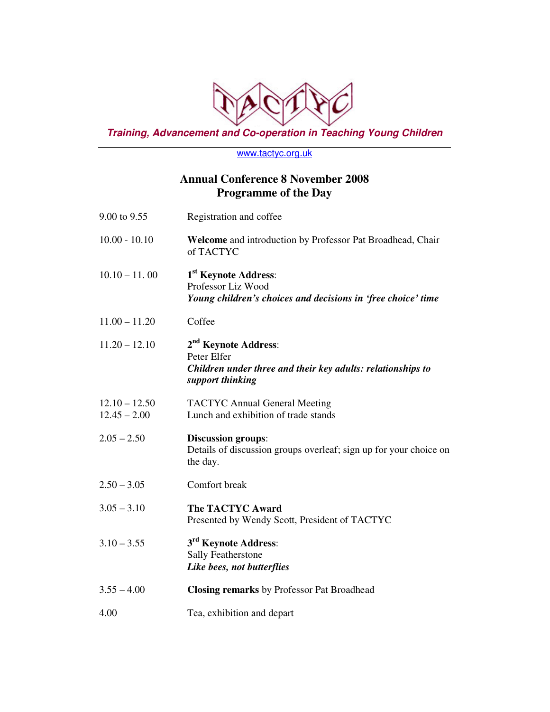

**Training, Advancement and Co-operation in Teaching Young Children** 

www.tactyc.org.uk

## **Annual Conference 8 November 2008 Programme of the Day**

| 9.00 to 9.55                      | Registration and coffee                                                                                                            |
|-----------------------------------|------------------------------------------------------------------------------------------------------------------------------------|
| $10.00 - 10.10$                   | Welcome and introduction by Professor Pat Broadhead, Chair<br>of TACTYC                                                            |
| $10.10 - 11.00$                   | 1 <sup>st</sup> Keynote Address:<br>Professor Liz Wood<br>Young children's choices and decisions in 'free choice' time             |
| $11.00 - 11.20$                   | Coffee                                                                                                                             |
| $11.20 - 12.10$                   | 2 <sup>nd</sup> Keynote Address:<br>Peter Elfer<br>Children under three and their key adults: relationships to<br>support thinking |
| $12.10 - 12.50$<br>$12.45 - 2.00$ | <b>TACTYC Annual General Meeting</b><br>Lunch and exhibition of trade stands                                                       |
| $2.05 - 2.50$                     | <b>Discussion groups:</b><br>Details of discussion groups overleaf; sign up for your choice on<br>the day.                         |
| $2.50 - 3.05$                     | Comfort break                                                                                                                      |
| $3.05 - 3.10$                     | <b>The TACTYC Award</b><br>Presented by Wendy Scott, President of TACTYC                                                           |
| $3.10 - 3.55$                     | 3 <sup>rd</sup> Keynote Address:<br><b>Sally Featherstone</b><br>Like bees, not butterflies                                        |
| $3.55 - 4.00$                     | <b>Closing remarks by Professor Pat Broadhead</b>                                                                                  |
| 4.00                              | Tea, exhibition and depart                                                                                                         |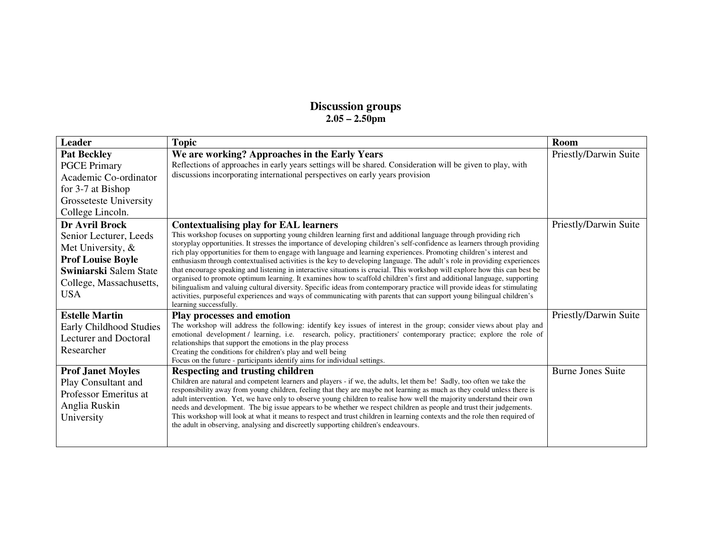## **Discussion groups 2.05 – 2.50pm**

| <b>Leader</b>                                                                                                                                                       | <b>Topic</b>                                                                                                                                                                                                                                                                                                                                                                                                                                                                                                                                                                                                                                                                                                                                                                                                                                                                                                                                                                                                                                                                                  | Room                     |
|---------------------------------------------------------------------------------------------------------------------------------------------------------------------|-----------------------------------------------------------------------------------------------------------------------------------------------------------------------------------------------------------------------------------------------------------------------------------------------------------------------------------------------------------------------------------------------------------------------------------------------------------------------------------------------------------------------------------------------------------------------------------------------------------------------------------------------------------------------------------------------------------------------------------------------------------------------------------------------------------------------------------------------------------------------------------------------------------------------------------------------------------------------------------------------------------------------------------------------------------------------------------------------|--------------------------|
| <b>Pat Beckley</b><br><b>PGCE Primary</b><br>Academic Co-ordinator<br>for 3-7 at Bishop<br>Grosseteste University<br>College Lincoln.                               | We are working? Approaches in the Early Years<br>Reflections of approaches in early years settings will be shared. Consideration will be given to play, with<br>discussions incorporating international perspectives on early years provision                                                                                                                                                                                                                                                                                                                                                                                                                                                                                                                                                                                                                                                                                                                                                                                                                                                 | Priestly/Darwin Suite    |
| <b>Dr Avril Brock</b><br>Senior Lecturer, Leeds<br>Met University, &<br><b>Prof Louise Boyle</b><br>Swiniarski Salem State<br>College, Massachusetts,<br><b>USA</b> | <b>Contextualising play for EAL learners</b><br>This workshop focuses on supporting young children learning first and additional language through providing rich<br>storyplay opportunities. It stresses the importance of developing children's self-confidence as learners through providing<br>rich play opportunities for them to engage with language and learning experiences. Promoting children's interest and<br>enthusiasm through contextualised activities is the key to developing language. The adult's role in providing experiences<br>that encourage speaking and listening in interactive situations is crucial. This workshop will explore how this can best be<br>organised to promote optimum learning. It examines how to scaffold children's first and additional language, supporting<br>bilingualism and valuing cultural diversity. Specific ideas from contemporary practice will provide ideas for stimulating<br>activities, purposeful experiences and ways of communicating with parents that can support young bilingual children's<br>learning successfully. | Priestly/Darwin Suite    |
| <b>Estelle Martin</b><br>Early Childhood Studies<br>Lecturer and Doctoral<br>Researcher                                                                             | <b>Play processes and emotion</b><br>The workshop will address the following: identify key issues of interest in the group; consider views about play and<br>emotional development / learning, i.e. research, policy, practitioners' contemporary practice; explore the role of<br>relationships that support the emotions in the play process<br>Creating the conditions for children's play and well being<br>Focus on the future - participants identify aims for individual settings.                                                                                                                                                                                                                                                                                                                                                                                                                                                                                                                                                                                                     | Priestly/Darwin Suite    |
| <b>Prof Janet Moyles</b><br>Play Consultant and<br>Professor Emeritus at<br>Anglia Ruskin<br>University                                                             | Respecting and trusting children<br>Children are natural and competent learners and players - if we, the adults, let them be! Sadly, too often we take the<br>responsibility away from young children, feeling that they are maybe not learning as much as they could unless there is<br>adult intervention. Yet, we have only to observe young children to realise how well the majority understand their own<br>needs and development. The big issue appears to be whether we respect children as people and trust their judgements.<br>This workshop will look at what it means to respect and trust children in learning contexts and the role then required of<br>the adult in observing, analysing and discreetly supporting children's endeavours.                                                                                                                                                                                                                                                                                                                                     | <b>Burne Jones Suite</b> |